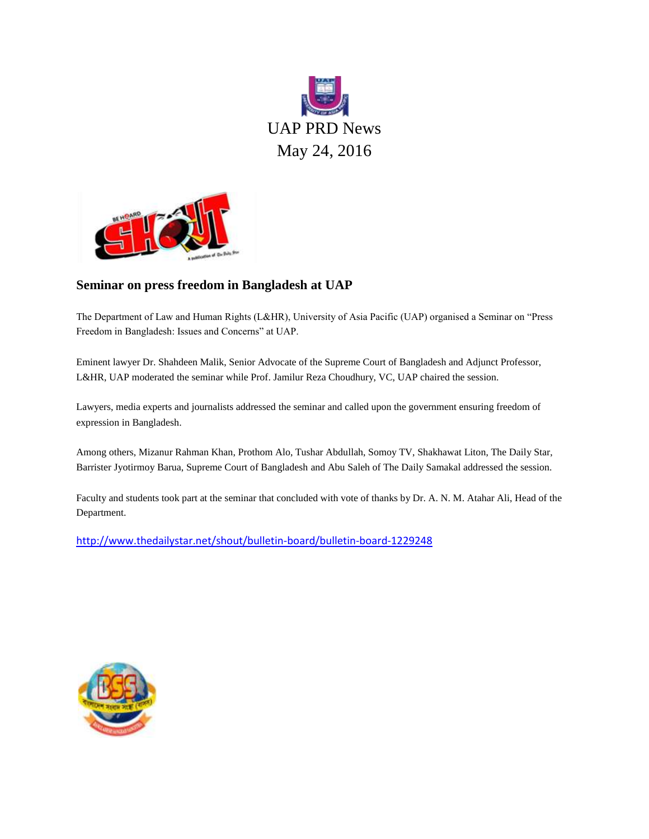



#### **Seminar on press freedom in Bangladesh at UAP**

The Department of Law and Human Rights (L&HR), University of Asia Pacific (UAP) organised a Seminar on "Press Freedom in Bangladesh: Issues and Concerns" at UAP.

Eminent lawyer Dr. Shahdeen Malik, Senior Advocate of the Supreme Court of Bangladesh and Adjunct Professor, L&HR, UAP moderated the seminar while Prof. Jamilur Reza Choudhury, VC, UAP chaired the session.

Lawyers, media experts and journalists addressed the seminar and called upon the government ensuring freedom of expression in Bangladesh.

Among others, Mizanur Rahman Khan, Prothom Alo, Tushar Abdullah, Somoy TV, Shakhawat Liton, The Daily Star, Barrister Jyotirmoy Barua, Supreme Court of Bangladesh and Abu Saleh of The Daily Samakal addressed the session.

Faculty and students took part at the seminar that concluded with vote of thanks by Dr. A. N. M. Atahar Ali, Head of the Department.

<http://www.thedailystar.net/shout/bulletin-board/bulletin-board-1229248>

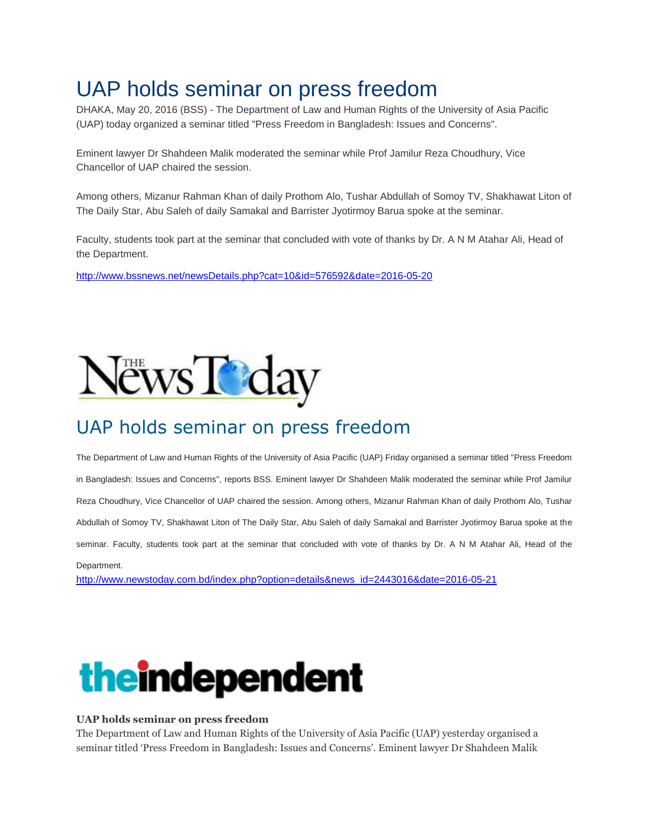## UAP holds seminar on press freedom

DHAKA, May 20, 2016 (BSS) - The Department of Law and Human Rights of the University of Asia Pacific (UAP) today organized a seminar titled "Press Freedom in Bangladesh: Issues and Concerns".

Eminent lawyer Dr Shahdeen Malik moderated the seminar while Prof Jamilur Reza Choudhury, Vice Chancellor of UAP chaired the session.

Among others, Mizanur Rahman Khan of daily Prothom Alo, Tushar Abdullah of Somoy TV, Shakhawat Liton of The Daily Star, Abu Saleh of daily Samakal and Barrister Jyotirmoy Barua spoke at the seminar.

Faculty, students took part at the seminar that concluded with vote of thanks by Dr. A N M Atahar Ali, Head of the Department.

<http://www.bssnews.net/newsDetails.php?cat=10&id=576592&date=2016-05-20>



#### UAP holds seminar on press freedom

The Department of Law and Human Rights of the University of Asia Pacific (UAP) Friday organised a seminar titled "Press Freedom in Bangladesh: Issues and Concerns", reports BSS. Eminent lawyer Dr Shahdeen Malik moderated the seminar while Prof Jamilur Reza Choudhury, Vice Chancellor of UAP chaired the session. Among others, Mizanur Rahman Khan of daily Prothom Alo, Tushar Abdullah of Somoy TV, Shakhawat Liton of The Daily Star, Abu Saleh of daily Samakal and Barrister Jyotirmoy Barua spoke at the seminar. Faculty, students took part at the seminar that concluded with vote of thanks by Dr. A N M Atahar Ali, Head of the Department.

[http://www.newstoday.com.bd/index.php?option=details&news\\_id=2443016&date=2016-05-21](http://www.newstoday.com.bd/index.php?option=details&news_id=2443016&date=2016-05-21)



#### **UAP holds seminar on press freedom**

The Department of Law and Human Rights of the University of Asia Pacific (UAP) yesterday organised a seminar titled 'Press Freedom in Bangladesh: Issues and Concerns'. Eminent lawyer Dr Shahdeen Malik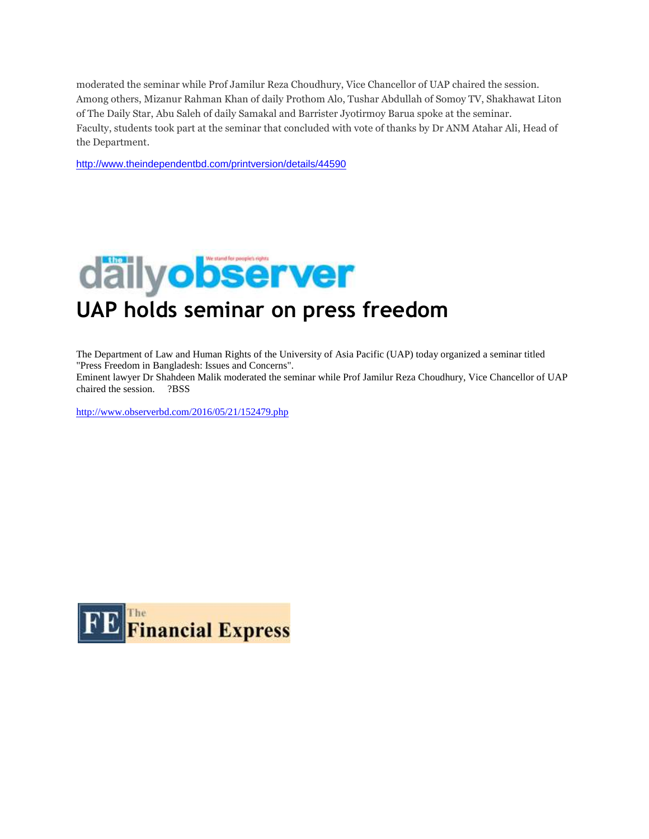moderated the seminar while Prof Jamilur Reza Choudhury, Vice Chancellor of UAP chaired the session. Among others, Mizanur Rahman Khan of daily Prothom Alo, Tushar Abdullah of Somoy TV, Shakhawat Liton of The Daily Star, Abu Saleh of daily Samakal and Barrister Jyotirmoy Barua spoke at the seminar. Faculty, students took part at the seminar that concluded with vote of thanks by Dr ANM Atahar Ali, Head of the Department.

<http://www.theindependentbd.com/printversion/details/44590>



The Department of Law and Human Rights of the University of Asia Pacific (UAP) today organized a seminar titled "Press Freedom in Bangladesh: Issues and Concerns".

Eminent lawyer Dr Shahdeen Malik moderated the seminar while Prof Jamilur Reza Choudhury, Vice Chancellor of UAP chaired the session. ?BSS

<http://www.observerbd.com/2016/05/21/152479.php>

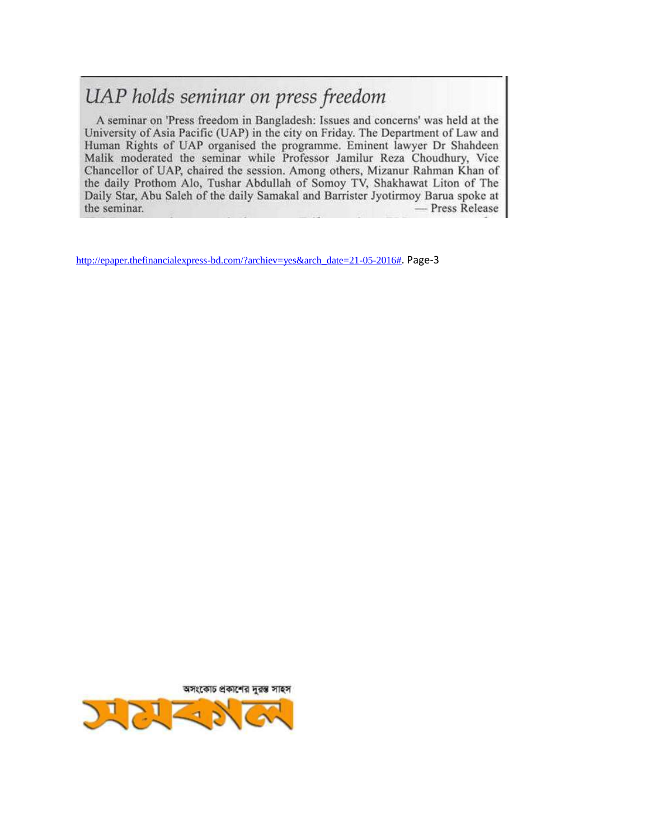#### UAP holds seminar on press freedom

A seminar on 'Press freedom in Bangladesh: Issues and concerns' was held at the University of Asia Pacific (UAP) in the city on Friday. The Department of Law and Human Rights of UAP organised the programme. Eminent lawyer Dr Shahdeen Malik moderated the seminar while Professor Jamilur Reza Choudhury, Vice Chancellor of UAP, chaired the session. Among others, Mizanur Rahman Khan of the daily Prothom Alo, Tushar Abdullah of Somoy TV, Shakhawat Liton of The Daily Star, Abu Saleh of the daily Samakal and Barrister Jyotirmoy Barua spoke at the seminar. - Press Release

[http://epaper.thefinancialexpress-bd.com/?archiev=yes&arch\\_date=21-05-2016#](http://epaper.thefinancialexpress-bd.com/?archiev=yes&arch_date=21-05-2016). Page-3

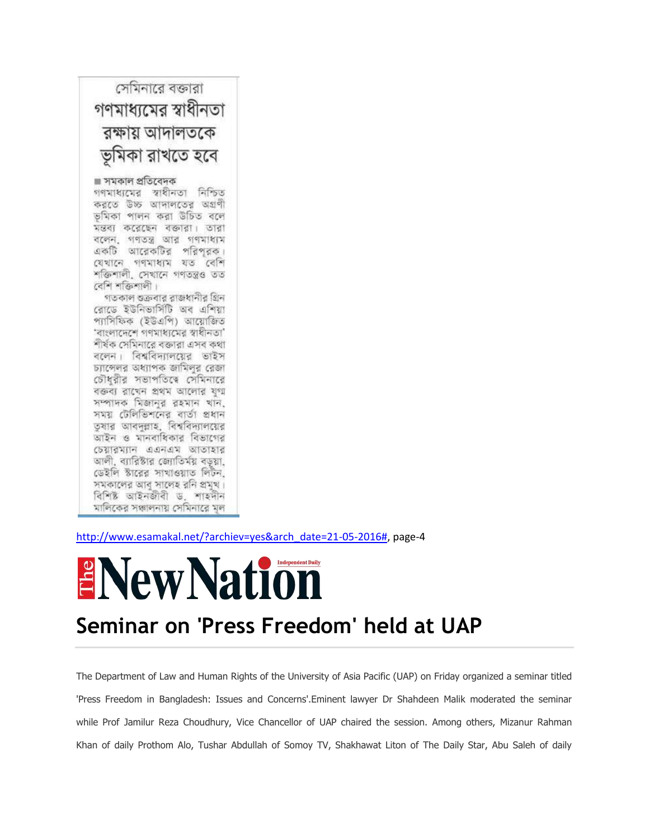

[http://www.esamakal.net/?archiev=yes&arch\\_date=21-05-2016#,](http://www.esamakal.net/?archiev=yes&arch_date=21-05-2016) page-4

# ENew Nation

#### **Seminar on 'Press Freedom' held at UAP**

The Department of Law and Human Rights of the University of Asia Pacific (UAP) on Friday organized a seminar titled 'Press Freedom in Bangladesh: Issues and Concerns'.Eminent lawyer Dr Shahdeen Malik moderated the seminar while Prof Jamilur Reza Choudhury, Vice Chancellor of UAP chaired the session. Among others, Mizanur Rahman Khan of daily Prothom Alo, Tushar Abdullah of Somoy TV, Shakhawat Liton of The Daily Star, Abu Saleh of daily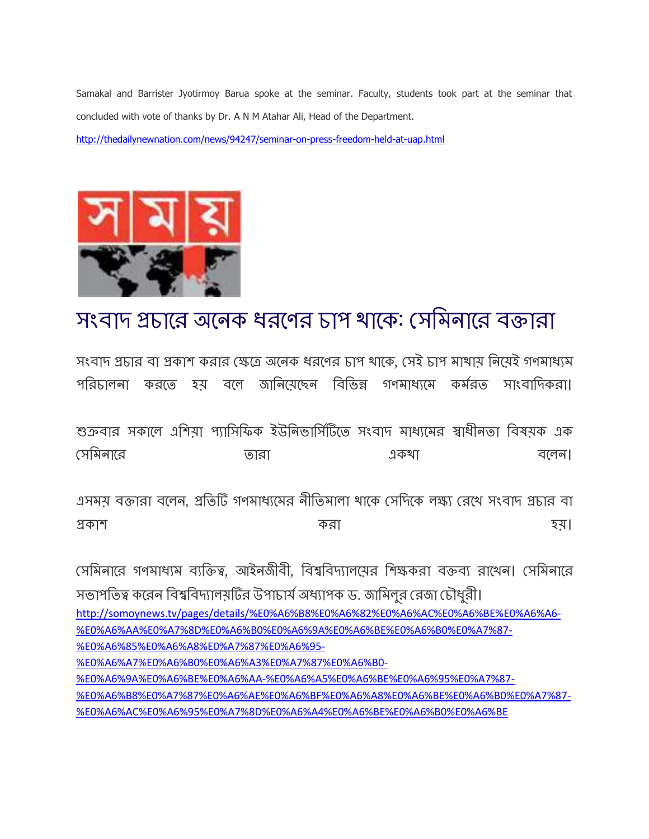Samakal and Barrister Jyotirmoy Barua spoke at the seminar. Faculty, students took part at the seminar that concluded with vote of thanks by Dr. A N M Atahar Ali, Head of the Department.

<http://thedailynewnation.com/news/94247/seminar-on-press-freedom-held-at-uap.html>



## সংবাদ প্রচারে অনেক ধরণের চাপ থাকে: সেমিনারে বক্তারা

সংবাদ প্রচার বা প্রকাশ করার ক্ষেত্রে অনেক ধরণের চাপ থাকে, সেই চাপ মাথায় নিয়েই গণমাধ্যম পরিচালনা করতে হয বলে জানিযেছেন বিভিন্ন গণমাধ্যমে কর্মরত সাংবাদিকরা।

শুক্রবার সকালে এশিয়া প্যাসিফিক ইউনিভার্সিটিতে সংবাদ মাধ্যমের স্বাধীনতা বিষয়ক এক সমভনারয োযা একথা ফররন।

এসময় বক্তারা বলেন, প্রতিটি গণমাধ্যমের নীতিমালা থাকে সেদিকে লক্ষ্য রেখে সংবাদ প্রচার বা প্রকাশ হয়। ১৯৭১ চনত করা যাতিক বিশ্ববিদ্যালয় করা হয়।

সেমিনারে গণমাধ্যম ব্যক্তিত্ব, আইনজীবী, বিশ্ববিদ্যালয়ের শিক্ষকরা বক্তব্য রাখেন। সেমিনারে সভাপতিত্ব করেন বিশ্ববিদ্যালয়টির উপাচার্য অধ্যাপক ড. জামিলর রেজা চৌধরী। [http://somoynews.tv/pages/details/%E0%A6%B8%E0%A6%82%E0%A6%AC%E0%A6%BE%E0%A6%A6-](http://somoynews.tv/pages/details/%E0%A6%B8%E0%A6%82%E0%A6%AC%E0%A6%BE%E0%A6%A6-%E0%A6%AA%E0%A7%8D%E0%A6%B0%E0%A6%9A%E0%A6%BE%E0%A6%B0%E0%A7%87-%E0%A6%85%E0%A6%A8%E0%A7%87%E0%A6%95-%E0%A6%A7%E0%A6%B0%E0%A6%A3%E0%A7%87%E0%A6%B0-%E0%A6%9A%E0%A6%BE%E0%A6%AA-%E0%A6%A5%E0%A6%BE%E0%A6%95%E0%A7%87-%E0%A6%B8%E0%A7%87%E0%A6%AE%E0%A6%BF%E0%A6%A8%E0%A6%BE%E0%A6%B0%E0%A7%87-%E0%A6%AC%E0%A6%95%E0%A7%8D%E0%A6%A4%E0%A6%BE%E0%A6%B0%E0%A6%BE) [%E0%A6%AA%E0%A7%8D%E0%A6%B0%E0%A6%9A%E0%A6%BE%E0%A6%B0%E0%A7%87-](http://somoynews.tv/pages/details/%E0%A6%B8%E0%A6%82%E0%A6%AC%E0%A6%BE%E0%A6%A6-%E0%A6%AA%E0%A7%8D%E0%A6%B0%E0%A6%9A%E0%A6%BE%E0%A6%B0%E0%A7%87-%E0%A6%85%E0%A6%A8%E0%A7%87%E0%A6%95-%E0%A6%A7%E0%A6%B0%E0%A6%A3%E0%A7%87%E0%A6%B0-%E0%A6%9A%E0%A6%BE%E0%A6%AA-%E0%A6%A5%E0%A6%BE%E0%A6%95%E0%A7%87-%E0%A6%B8%E0%A7%87%E0%A6%AE%E0%A6%BF%E0%A6%A8%E0%A6%BE%E0%A6%B0%E0%A7%87-%E0%A6%AC%E0%A6%95%E0%A7%8D%E0%A6%A4%E0%A6%BE%E0%A6%B0%E0%A6%BE) [%E0%A6%85%E0%A6%A8%E0%A7%87%E0%A6%95-](http://somoynews.tv/pages/details/%E0%A6%B8%E0%A6%82%E0%A6%AC%E0%A6%BE%E0%A6%A6-%E0%A6%AA%E0%A7%8D%E0%A6%B0%E0%A6%9A%E0%A6%BE%E0%A6%B0%E0%A7%87-%E0%A6%85%E0%A6%A8%E0%A7%87%E0%A6%95-%E0%A6%A7%E0%A6%B0%E0%A6%A3%E0%A7%87%E0%A6%B0-%E0%A6%9A%E0%A6%BE%E0%A6%AA-%E0%A6%A5%E0%A6%BE%E0%A6%95%E0%A7%87-%E0%A6%B8%E0%A7%87%E0%A6%AE%E0%A6%BF%E0%A6%A8%E0%A6%BE%E0%A6%B0%E0%A7%87-%E0%A6%AC%E0%A6%95%E0%A7%8D%E0%A6%A4%E0%A6%BE%E0%A6%B0%E0%A6%BE) [%E0%A6%A7%E0%A6%B0%E0%A6%A3%E0%A7%87%E0%A6%B0-](http://somoynews.tv/pages/details/%E0%A6%B8%E0%A6%82%E0%A6%AC%E0%A6%BE%E0%A6%A6-%E0%A6%AA%E0%A7%8D%E0%A6%B0%E0%A6%9A%E0%A6%BE%E0%A6%B0%E0%A7%87-%E0%A6%85%E0%A6%A8%E0%A7%87%E0%A6%95-%E0%A6%A7%E0%A6%B0%E0%A6%A3%E0%A7%87%E0%A6%B0-%E0%A6%9A%E0%A6%BE%E0%A6%AA-%E0%A6%A5%E0%A6%BE%E0%A6%95%E0%A7%87-%E0%A6%B8%E0%A7%87%E0%A6%AE%E0%A6%BF%E0%A6%A8%E0%A6%BE%E0%A6%B0%E0%A7%87-%E0%A6%AC%E0%A6%95%E0%A7%8D%E0%A6%A4%E0%A6%BE%E0%A6%B0%E0%A6%BE) [%E0%A6%9A%E0%A6%BE%E0%A6%AA-%E0%A6%A5%E0%A6%BE%E0%A6%95%E0%A7%87-](http://somoynews.tv/pages/details/%E0%A6%B8%E0%A6%82%E0%A6%AC%E0%A6%BE%E0%A6%A6-%E0%A6%AA%E0%A7%8D%E0%A6%B0%E0%A6%9A%E0%A6%BE%E0%A6%B0%E0%A7%87-%E0%A6%85%E0%A6%A8%E0%A7%87%E0%A6%95-%E0%A6%A7%E0%A6%B0%E0%A6%A3%E0%A7%87%E0%A6%B0-%E0%A6%9A%E0%A6%BE%E0%A6%AA-%E0%A6%A5%E0%A6%BE%E0%A6%95%E0%A7%87-%E0%A6%B8%E0%A7%87%E0%A6%AE%E0%A6%BF%E0%A6%A8%E0%A6%BE%E0%A6%B0%E0%A7%87-%E0%A6%AC%E0%A6%95%E0%A7%8D%E0%A6%A4%E0%A6%BE%E0%A6%B0%E0%A6%BE) [%E0%A6%B8%E0%A7%87%E0%A6%AE%E0%A6%BF%E0%A6%A8%E0%A6%BE%E0%A6%B0%E0%A7%87-](http://somoynews.tv/pages/details/%E0%A6%B8%E0%A6%82%E0%A6%AC%E0%A6%BE%E0%A6%A6-%E0%A6%AA%E0%A7%8D%E0%A6%B0%E0%A6%9A%E0%A6%BE%E0%A6%B0%E0%A7%87-%E0%A6%85%E0%A6%A8%E0%A7%87%E0%A6%95-%E0%A6%A7%E0%A6%B0%E0%A6%A3%E0%A7%87%E0%A6%B0-%E0%A6%9A%E0%A6%BE%E0%A6%AA-%E0%A6%A5%E0%A6%BE%E0%A6%95%E0%A7%87-%E0%A6%B8%E0%A7%87%E0%A6%AE%E0%A6%BF%E0%A6%A8%E0%A6%BE%E0%A6%B0%E0%A7%87-%E0%A6%AC%E0%A6%95%E0%A7%8D%E0%A6%A4%E0%A6%BE%E0%A6%B0%E0%A6%BE) [%E0%A6%AC%E0%A6%95%E0%A7%8D%E0%A6%A4%E0%A6%BE%E0%A6%B0%E0%A6%BE](http://somoynews.tv/pages/details/%E0%A6%B8%E0%A6%82%E0%A6%AC%E0%A6%BE%E0%A6%A6-%E0%A6%AA%E0%A7%8D%E0%A6%B0%E0%A6%9A%E0%A6%BE%E0%A6%B0%E0%A7%87-%E0%A6%85%E0%A6%A8%E0%A7%87%E0%A6%95-%E0%A6%A7%E0%A6%B0%E0%A6%A3%E0%A7%87%E0%A6%B0-%E0%A6%9A%E0%A6%BE%E0%A6%AA-%E0%A6%A5%E0%A6%BE%E0%A6%95%E0%A7%87-%E0%A6%B8%E0%A7%87%E0%A6%AE%E0%A6%BF%E0%A6%A8%E0%A6%BE%E0%A6%B0%E0%A7%87-%E0%A6%AC%E0%A6%95%E0%A7%8D%E0%A6%A4%E0%A6%BE%E0%A6%B0%E0%A6%BE)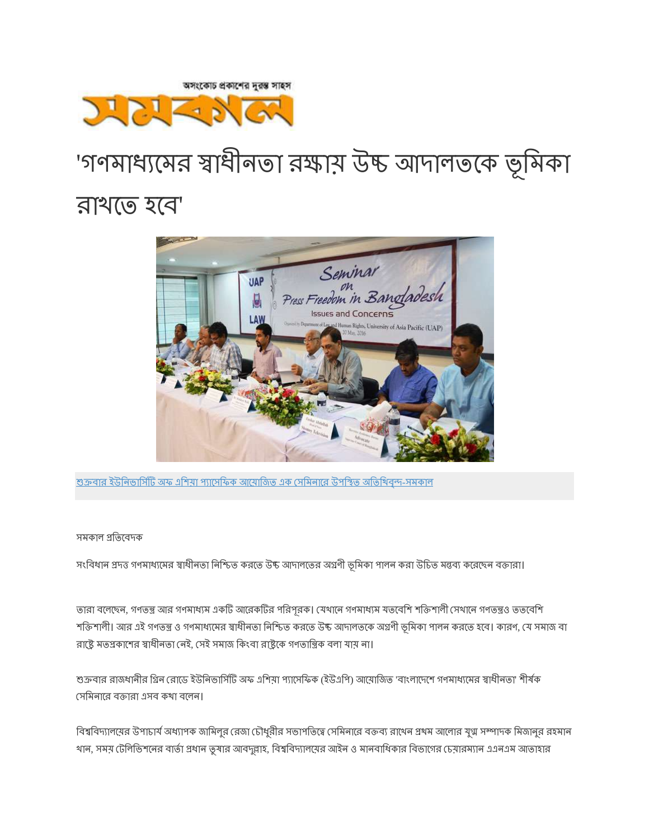শুক্রবার ইউনিভার্সিটি অফ এশিয়া প্যাসেফিক আয়োজিত এক সেমিনারে উপস্থিত অতিথিবন্দ-সমকাল

#### সমকাল প্রতিবেদক

সংবিধান প্রদত্ত গণমাধ্যমের স্বাধীনতা নিশ্চিত করতে উচ্চ আদালতের অগ্রণী ভূমিকা পালন করা উচিত মন্তব্য করেছেন বক্তারা।

তারা বলেছেন, গণতন্ত্র আর গণমাধ্যম একটি আরেকটির পরিপূরক। যেথানে গণমাধ্যম যতবেশি শক্তিশালী সেথানে গণতন্ত্রও ততবেশি শক্তিশালী। আর এই গণতন্ত্র ও গণমাধ্যমের স্বাধীনতা নিশ্চিত করতে উচ্চ আদালতকে অগ্রণী ভূমিকা পালন করতে হবে। কারণ, যে সমাজ বা রাষ্ট্রে মতপ্রকাশের স্বাধীনতা নেই, সেই সমাজ কিংবা রাষ্ট্রকে গণতান্ত্রিক বলা যায় না।

শুক্রবার রাজধানীর গ্রিন রোডে ইউনিভার্সিটি অফ এশিয়া প্যাসেফিক (ইউএপি) আয়োজিত 'বাংলাদেশে গণমাধ্যমের স্বাধীনতা' শীর্ষক সেমিনারে বক্তারা এসব কথা বলেন।

বিশ্ববিদ্যালয়ের উপাচার্য অধ্যাপক জামিলুর রেজা চৌধুরীর সভাপতিত্বে সেমিনারে বক্তব্য রাথেন প্রথম আলোর যুগ্ম সম্পাদক মিজানুর রহমান থান, সময় টেলিভিশনের বার্তা প্রধান তুষার আবদুল্লাহ, বিশ্ববিদ্যালয়ের আইন ও মানবাধিকার বিভাগের চেয়ারম্যান এএনএম আতাহার



## রাথতে হবে'

## 'গণমাধ্যমের স্বাধীনতা রক্ষায় উচ্চ আদালতকে ভূমিকা



অসংকোচ প্রকাশের দুরস্ত সাহস